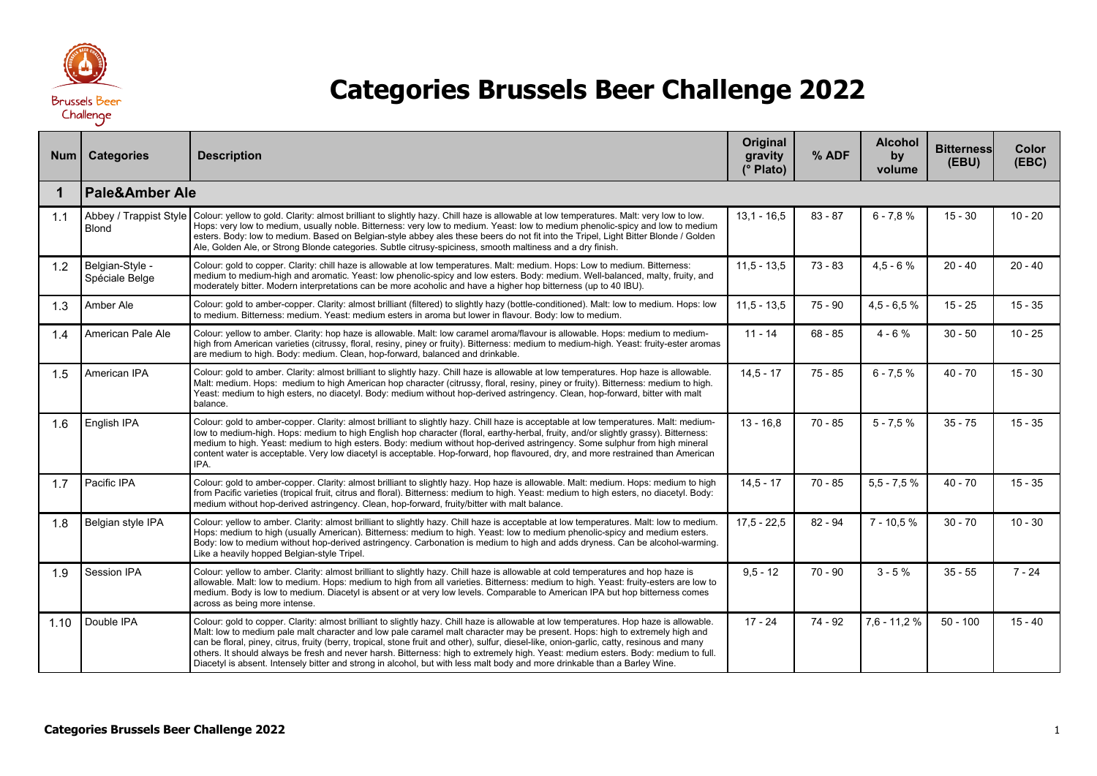

## **Categories Brussels Beer Challenge 2022**

| Num  | <b>Categories</b>                      | <b>Description</b>                                                                                                                                                                                                                                                                                                                                                                                                                                                                                                                                                                                                                                                                        | Original<br>gravity<br>$\overline{(^{\circ}}$ Plato) | % ADF     | <b>Alcohol</b><br>by<br>volume | <b>Bitterness</b><br>(EBU) | <b>Color</b><br>(EBC) |  |  |  |
|------|----------------------------------------|-------------------------------------------------------------------------------------------------------------------------------------------------------------------------------------------------------------------------------------------------------------------------------------------------------------------------------------------------------------------------------------------------------------------------------------------------------------------------------------------------------------------------------------------------------------------------------------------------------------------------------------------------------------------------------------------|------------------------------------------------------|-----------|--------------------------------|----------------------------|-----------------------|--|--|--|
| 1    | <b>Pale&amp;Amber Ale</b>              |                                                                                                                                                                                                                                                                                                                                                                                                                                                                                                                                                                                                                                                                                           |                                                      |           |                                |                            |                       |  |  |  |
| 1.1  | Abbey / Trappist Style<br><b>Blond</b> | Colour: yellow to gold. Clarity: almost brilliant to slightly hazy. Chill haze is allowable at low temperatures. Malt: very low to low.<br>Hops: very low to medium, usually noble. Bitterness: very low to medium. Yeast: low to medium phenolic-spicy and low to medium<br>esters. Body: low to medium. Based on Belgian-style abbey ales these beers do not fit into the Tripel, Light Bitter Blonde / Golden<br>Ale, Golden Ale, or Strong Blonde categories. Subtle citrusy-spiciness, smooth maltiness and a dry finish.                                                                                                                                                            | $13.1 - 16.5$                                        | $83 - 87$ | $6 - 7.8 %$                    | $15 - 30$                  | $10 - 20$             |  |  |  |
| 1.2  | Belgian-Style -<br>Spéciale Belge      | Colour: gold to copper. Clarity: chill haze is allowable at low temperatures. Malt: medium. Hops: Low to medium. Bitterness:<br>medium to medium-high and aromatic. Yeast: low phenolic-spicy and low esters. Body: medium. Well-balanced, malty, fruity, and<br>moderately bitter. Modern interpretations can be more acoholic and have a higher hop bitterness (up to 40 IBU).                                                                                                                                                                                                                                                                                                          | $11,5 - 13,5$                                        | $73 - 83$ | $4.5 - 6%$                     | $20 - 40$                  | $20 - 40$             |  |  |  |
| 1.3  | Amber Ale                              | Colour: gold to amber-copper. Clarity: almost brilliant (filtered) to slightly hazy (bottle-conditioned). Malt: low to medium. Hops: low<br>to medium. Bitterness: medium. Yeast: medium esters in aroma but lower in flavour. Body: low to medium.                                                                                                                                                                                                                                                                                                                                                                                                                                       | $11,5 - 13,5$                                        | $75 - 90$ | $4.5 - 6.5%$                   | $15 - 25$                  | $15 - 35$             |  |  |  |
| 1.4  | American Pale Ale                      | Colour: yellow to amber. Clarity: hop haze is allowable. Malt: low caramel aroma/flavour is allowable. Hops: medium to medium-<br>high from American varieties (citrussy, floral, resiny, piney or fruity). Bitterness: medium to medium-high. Yeast: fruity-ester aromas<br>are medium to high. Body: medium. Clean, hop-forward, balanced and drinkable.                                                                                                                                                                                                                                                                                                                                | $11 - 14$                                            | $68 - 85$ | $4 - 6%$                       | $30 - 50$                  | $10 - 25$             |  |  |  |
| 1.5  | American IPA                           | Colour: gold to amber. Clarity: almost brilliant to slightly hazy. Chill haze is allowable at low temperatures. Hop haze is allowable.<br>Malt: medium. Hops: medium to high American hop character (citrussy, floral, resiny, piney or fruity). Bitterness: medium to high.<br>Yeast: medium to high esters, no diacetyl. Body: medium without hop-derived astringency. Clean, hop-forward, bitter with malt<br>balance.                                                                                                                                                                                                                                                                 | $14.5 - 17$                                          | $75 - 85$ | $6 - 7.5%$                     | $40 - 70$                  | $15 - 30$             |  |  |  |
| 1.6  | English IPA                            | Colour: gold to amber-copper. Clarity: almost brilliant to slightly hazy. Chill haze is acceptable at low temperatures. Malt: medium-<br>low to medium-high. Hops: medium to high English hop character (floral, earthy-herbal, fruity, and/or slightly grassy). Bitterness:<br>medium to high. Yeast: medium to high esters. Body: medium without hop-derived astringency. Some sulphur from high mineral<br>content water is acceptable. Very low diacetyl is acceptable. Hop-forward, hop flavoured, dry, and more restrained than American<br>IPA.                                                                                                                                    | $13 - 16.8$                                          | $70 - 85$ | $5 - 7.5%$                     | $35 - 75$                  | $15 - 35$             |  |  |  |
| 1.7  | Pacific IPA                            | Colour: gold to amber-copper. Clarity: almost brilliant to slightly hazy. Hop haze is allowable. Malt: medium. Hops: medium to high<br>from Pacific varieties (tropical fruit, citrus and floral). Bitterness: medium to high. Yeast: medium to high esters, no diacetyl. Body:<br>medium without hop-derived astringency. Clean, hop-forward, fruity/bitter with malt balance.                                                                                                                                                                                                                                                                                                           | $14,5 - 17$                                          | $70 - 85$ | $5,5 - 7,5 %$                  | $40 - 70$                  | $15 - 35$             |  |  |  |
| 1.8  | Belgian style IPA                      | Colour: yellow to amber. Clarity: almost brilliant to slightly hazy. Chill haze is acceptable at low temperatures. Malt: low to medium.<br>Hops: medium to high (usually American). Bitterness: medium to high. Yeast: low to medium phenolic-spicy and medium esters.<br>Body: low to medium without hop-derived astringency. Carbonation is medium to high and adds dryness. Can be alcohol-warming.<br>Like a heavily hopped Belgian-style Tripel.                                                                                                                                                                                                                                     | $17.5 - 22.5$                                        | $82 - 94$ | $7 - 10.5%$                    | $30 - 70$                  | $10 - 30$             |  |  |  |
| 1.9  | Session IPA                            | Colour: yellow to amber. Clarity: almost brilliant to slightly hazy. Chill haze is allowable at cold temperatures and hop haze is<br>allowable. Malt: low to medium. Hops: medium to high from all varieties. Bitterness: medium to high. Yeast: fruity-esters are low to<br>medium. Body is low to medium. Diacetyl is absent or at very low levels. Comparable to American IPA but hop bitterness comes<br>across as being more intense.                                                                                                                                                                                                                                                | $9.5 - 12$                                           | $70 - 90$ | $3 - 5%$                       | $35 - 55$                  | $7 - 24$              |  |  |  |
| 1.10 | Double IPA                             | Colour: gold to copper. Clarity: almost brilliant to slightly hazy. Chill haze is allowable at low temperatures. Hop haze is allowable.<br>Malt: low to medium pale malt character and low pale caramel malt character may be present. Hops: high to extremely high and<br>can be floral, piney, citrus, fruity (berry, tropical, stone fruit and other), sulfur, diesel-like, onion-garlic, catty, resinous and many<br>others. It should always be fresh and never harsh. Bitterness: high to extremely high. Yeast: medium esters. Body: medium to full.<br>Diacetyl is absent. Intensely bitter and strong in alcohol, but with less malt body and more drinkable than a Barley Wine. | $17 - 24$                                            | 74 - 92   | $7,6 - 11,2%$                  | $50 - 100$                 | $15 - 40$             |  |  |  |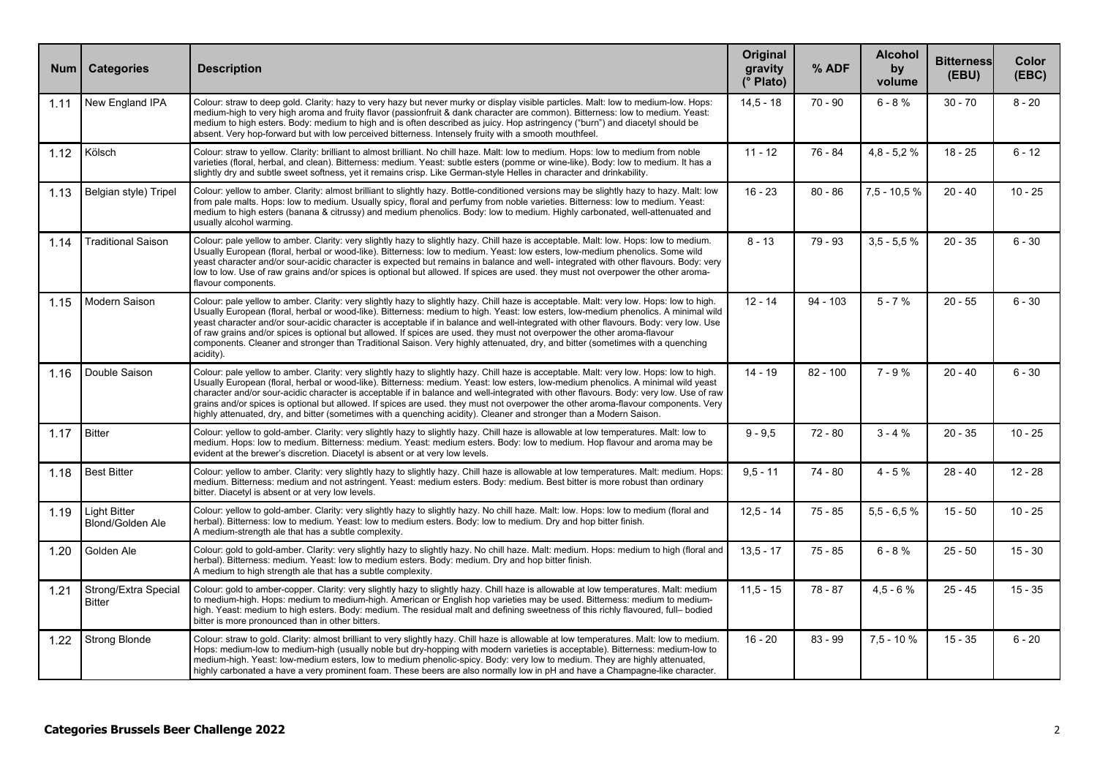| <b>Num</b> | <b>Categories</b>                              | <b>Description</b>                                                                                                                                                                                                                                                                                                                                                                                                                                                                                                                                                                                                                                                                                 | Original<br>gravity<br>(° Plato) | % ADF      | <b>Alcohol</b><br>by<br>volume | <b>Bitterness</b><br>(EBU) | Color<br>(EEC) |
|------------|------------------------------------------------|----------------------------------------------------------------------------------------------------------------------------------------------------------------------------------------------------------------------------------------------------------------------------------------------------------------------------------------------------------------------------------------------------------------------------------------------------------------------------------------------------------------------------------------------------------------------------------------------------------------------------------------------------------------------------------------------------|----------------------------------|------------|--------------------------------|----------------------------|----------------|
| 1.11       | New England IPA                                | Colour: straw to deep gold. Clarity: hazy to very hazy but never murky or display visible particles. Malt: low to medium-low. Hops:<br>medium-high to very high aroma and fruity flavor (passionfruit & dank character are common). Bitterness: low to medium. Yeast:<br>medium to high esters. Body: medium to high and is often described as juicy. Hop astringency ("burn") and diacetyl should be<br>absent. Very hop-forward but with low perceived bitterness. Intensely fruity with a smooth mouthfeel.                                                                                                                                                                                     | $14.5 - 18$                      | $70 - 90$  | $6 - 8%$                       | $30 - 70$                  | $8 - 20$       |
| 1.12       | Kölsch                                         | Colour: straw to yellow. Clarity: brilliant to almost brilliant. No chill haze. Malt: low to medium. Hops: low to medium from noble<br>varieties (floral, herbal, and clean). Bitterness: medium. Yeast: subtle esters (pomme or wine-like). Body: low to medium. It has a<br>slightly dry and subtle sweet softness, vet it remains crisp. Like German-style Helles in character and drinkability,                                                                                                                                                                                                                                                                                                | $11 - 12$                        | 76 - 84    | $4,8 - 5,2 %$                  | $18 - 25$                  | $6 - 12$       |
| 1.13       | Belgian style) Tripel                          | Colour: yellow to amber. Clarity: almost brilliant to slightly hazy. Bottle-conditioned versions may be slightly hazy to hazy. Malt: low<br>from pale malts. Hops: low to medium. Usually spicy, floral and perfumy from noble varieties. Bitterness: low to medium. Yeast:<br>medium to high esters (banana & citrussy) and medium phenolics. Body: low to medium. Highly carbonated, well-attenuated and<br>usually alcohol warming.                                                                                                                                                                                                                                                             | $16 - 23$                        | $80 - 86$  | $7,5 - 10,5 %$                 | $20 - 40$                  | $10 - 25$      |
| 1.14       | <b>Traditional Saison</b>                      | Colour: pale yellow to amber. Clarity: very slightly hazy to slightly hazy. Chill haze is acceptable. Malt: low. Hops: low to medium.<br>Usually European (floral, herbal or wood-like). Bitterness: low to medium. Yeast: low esters, low-medium phenolics. Some wild<br>yeast character and/or sour-acidic character is expected but remains in balance and well- integrated with other flavours. Body: very<br>low to low. Use of raw grains and/or spices is optional but allowed. If spices are used, they must not overpower the other aroma-<br>flavour components.                                                                                                                         | $8 - 13$                         | 79 - 93    | $3,5 - 5,5 %$                  | $20 - 35$                  | $6 - 30$       |
| 1.15       | Modern Saison                                  | Colour: pale yellow to amber. Clarity: very slightly hazy to slightly hazy. Chill haze is acceptable. Malt: very low. Hops: low to high.<br>Usually European (floral, herbal or wood-like). Bitterness: medium to high. Yeast: low esters, low-medium phenolics. A minimal wild<br>yeast character and/or sour-acidic character is acceptable if in balance and well-integrated with other flavours. Body: very low. Use<br>of raw grains and/or spices is optional but allowed. If spices are used, they must not overpower the other aroma-flavour<br>components. Cleaner and stronger than Traditional Saison. Very highly attenuated, dry, and bitter (sometimes with a quenching<br>acidity). | $12 - 14$                        | $94 - 103$ | $5 - 7%$                       | $20 - 55$                  | $6 - 30$       |
| 1.16       | Double Saison                                  | Colour: pale yellow to amber. Clarity: very slightly hazy to slightly hazy. Chill haze is acceptable. Malt: very low. Hops: low to high.<br>Usually European (floral, herbal or wood-like), Bitterness: medium, Yeast: low esters, low-medium phenolics, A minimal wild yeast<br>character and/or sour-acidic character is acceptable if in balance and well-integrated with other flavours. Body: very low. Use of raw<br>grains and/or spices is optional but allowed. If spices are used, they must not overpower the other aroma-flavour components. Very<br>highly attenuated, dry, and bitter (sometimes with a quenching acidity). Cleaner and stronger than a Modern Saison.               | $14 - 19$                        | $82 - 100$ | $7 - 9%$                       | $20 - 40$                  | $6 - 30$       |
| 1.17       | <b>Bitter</b>                                  | Colour: yellow to gold-amber. Clarity: very slightly hazy to slightly hazy. Chill haze is allowable at low temperatures. Malt: low to<br>medium. Hops: low to medium. Bitterness: medium. Yeast: medium esters. Body: low to medium. Hop flavour and aroma may be<br>evident at the brewer's discretion. Diacetyl is absent or at very low levels.                                                                                                                                                                                                                                                                                                                                                 | $9 - 9.5$                        | $72 - 80$  | $3 - 4 %$                      | $20 - 35$                  | $10 - 25$      |
| 1.18       | <b>Best Bitter</b>                             | Colour: yellow to amber. Clarity: very slightly hazy to slightly hazy. Chill haze is allowable at low temperatures. Malt: medium. Hops:<br>medium. Bitterness: medium and not astringent. Yeast: medium esters. Body: medium. Best bitter is more robust than ordinary<br>bitter. Diacetyl is absent or at very low levels.                                                                                                                                                                                                                                                                                                                                                                        | $9.5 - 11$                       | $74 - 80$  | $4 - 5%$                       | $28 - 40$                  | $12 - 28$      |
| 1.19       | <b>Light Bitter</b><br><b>Blond/Golden Ale</b> | Colour: yellow to gold-amber. Clarity: very slightly hazy to slightly hazy. No chill haze. Malt: low. Hops: low to medium (floral and<br>herbal). Bitterness: low to medium. Yeast: low to medium esters. Body: low to medium. Dry and hop bitter finish.<br>A medium-strength ale that has a subtle complexity.                                                                                                                                                                                                                                                                                                                                                                                   | $12.5 - 14$                      | $75 - 85$  | $5.5 - 6.5%$                   | $15 - 50$                  | $10 - 25$      |
| 1.20       | Golden Ale                                     | Colour: gold to gold-amber. Clarity: very slightly hazy to slightly hazy. No chill haze. Malt: medium. Hops: medium to high (floral and<br>herbal). Bitterness: medium. Yeast: low to medium esters. Body: medium. Dry and hop bitter finish.<br>A medium to high strength ale that has a subtle complexity.                                                                                                                                                                                                                                                                                                                                                                                       | $13.5 - 17$                      | $75 - 85$  | $6 - 8%$                       | $25 - 50$                  | $15 - 30$      |
| 1.21       | Strong/Extra Special<br>Bitter                 | Colour: gold to amber-copper. Clarity: very slightly hazy to slightly hazy. Chill haze is allowable at low temperatures. Malt: medium<br>to medium-high. Hops: medium to medium-high. American or English hop varieties may be used. Bitterness: medium to medium-<br>high. Yeast: medium to high esters. Body: medium. The residual malt and defining sweetness of this richly flavoured, full- bodied<br>bitter is more pronounced than in other bitters.                                                                                                                                                                                                                                        | $11.5 - 15$                      | $78 - 87$  | $4,5 - 6%$                     | $25 - 45$                  | $15 - 35$      |
| 1.22       | Strong Blonde                                  | Colour: straw to gold. Clarity: almost brilliant to very slightly hazy. Chill haze is allowable at low temperatures. Malt: low to medium.<br>Hops: medium-low to medium-high (usually noble but dry-hopping with modern varieties is acceptable). Bitterness: medium-low to<br>medium-high. Yeast: low-medium esters, low to medium phenolic-spicy. Body: very low to medium. They are highly attenuated,<br>highly carbonated a have a very prominent foam. These beers are also normally low in pH and have a Champagne-like character.                                                                                                                                                          | $16 - 20$                        | $83 - 99$  | $7.5 - 10%$                    | $15 - 35$                  | $6 - 20$       |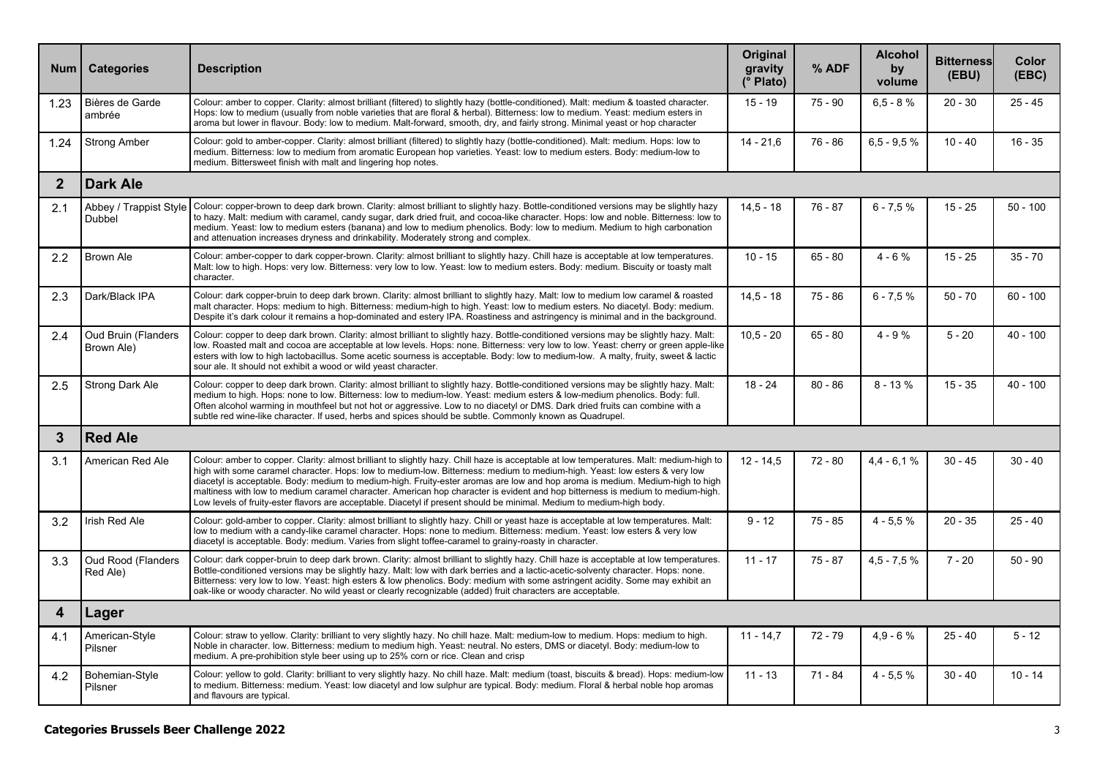| <b>Num</b>     | <b>Categories</b>                        | <b>Description</b>                                                                                                                                                                                                                                                                                                                                                                                                                                                                                                                                                                                                                                                | Original<br>gravity<br>(° Plato) | % ADF     | <b>Alcohol</b><br>by<br>volume | <b>Bitterness</b><br>(EBU) | Color<br>(EBC) |  |  |  |  |
|----------------|------------------------------------------|-------------------------------------------------------------------------------------------------------------------------------------------------------------------------------------------------------------------------------------------------------------------------------------------------------------------------------------------------------------------------------------------------------------------------------------------------------------------------------------------------------------------------------------------------------------------------------------------------------------------------------------------------------------------|----------------------------------|-----------|--------------------------------|----------------------------|----------------|--|--|--|--|
| 1.23           | Bières de Garde<br>ambrée                | Colour: amber to copper. Clarity: almost brilliant (filtered) to slightly hazy (bottle-conditioned). Malt: medium & toasted character.<br>Hops: low to medium (usually from noble varieties that are floral & herbal). Bitterness: low to medium. Yeast: medium esters in<br>aroma but lower in flavour. Body: low to medium. Malt-forward, smooth, dry, and fairly strong. Minimal yeast or hop character                                                                                                                                                                                                                                                        | $15 - 19$                        | $75 - 90$ | $6,5 - 8%$                     | $20 - 30$                  | $25 - 45$      |  |  |  |  |
| 1.24           | <b>Strong Amber</b>                      | Colour: gold to amber-copper. Clarity: almost brilliant (filtered) to slightly hazy (bottle-conditioned). Malt: medium. Hops: low to<br>medium. Bitterness: low to medium from aromatic European hop varieties. Yeast: low to medium esters. Body: medium-low to<br>medium. Bittersweet finish with malt and lingering hop notes.                                                                                                                                                                                                                                                                                                                                 | $14 - 21.6$                      | $76 - 86$ | $6.5 - 9.5 %$                  | $10 - 40$                  | $16 - 35$      |  |  |  |  |
| $\overline{2}$ | <b>Dark Ale</b>                          |                                                                                                                                                                                                                                                                                                                                                                                                                                                                                                                                                                                                                                                                   |                                  |           |                                |                            |                |  |  |  |  |
| 2.1            | Abbey / Trappist Style<br>Dubbel         | Colour: copper-brown to deep dark brown. Clarity: almost brilliant to slightly hazy. Bottle-conditioned versions may be slightly hazy<br>to hazy. Malt: medium with caramel, candy sugar, dark dried fruit, and cocoa-like character. Hops: low and noble. Bitterness: low to<br>medium. Yeast: low to medium esters (banana) and low to medium phenolics. Body: low to medium. Medium to high carbonation<br>and attenuation increases dryness and drinkability. Moderately strong and complex.                                                                                                                                                                  | $14.5 - 18$                      | $76 - 87$ | $6 - 7.5%$                     | $15 - 25$                  | $50 - 100$     |  |  |  |  |
| 2.2            | <b>Brown Ale</b>                         | Colour: amber-copper to dark copper-brown. Clarity: almost brilliant to slightly hazy. Chill haze is acceptable at low temperatures.<br>Malt: low to high. Hops: very low. Bitterness: very low to low. Yeast: low to medium esters. Body: medium. Biscuity or toasty malt<br>character.                                                                                                                                                                                                                                                                                                                                                                          | $10 - 15$                        | $65 - 80$ | $4 - 6%$                       | $15 - 25$                  | $35 - 70$      |  |  |  |  |
| 2.3            | Dark/Black IPA                           | Colour: dark copper-bruin to deep dark brown. Clarity: almost brilliant to slightly hazy. Malt: low to medium low caramel & roasted<br>malt character. Hops: medium to high. Bitterness: medium-high to high. Yeast: low to medium esters. No diacetyl. Body: medium.<br>Despite it's dark colour it remains a hop-dominated and estery IPA. Roastiness and astringency is minimal and in the background.                                                                                                                                                                                                                                                         | $14.5 - 18$                      | $75 - 86$ | $6 - 7.5%$                     | $50 - 70$                  | $60 - 100$     |  |  |  |  |
| 2.4            | <b>Oud Bruin (Flanders</b><br>Brown Ale) | Colour: copper to deep dark brown. Clarity: almost brilliant to slightly hazy. Bottle-conditioned versions may be slightly hazy. Malt:<br>low. Roasted malt and cocoa are acceptable at low levels. Hops: none. Bitterness: very low to low. Yeast: cherry or green apple-like<br>esters with low to high lactobacillus. Some acetic sourness is acceptable. Body: low to medium-low. A malty, fruity, sweet & lactic<br>sour ale. It should not exhibit a wood or wild yeast character.                                                                                                                                                                          | $10.5 - 20$                      | $65 - 80$ | $4 - 9%$                       | $5 - 20$                   | $40 - 100$     |  |  |  |  |
| 2.5            | Strong Dark Ale                          | Colour: copper to deep dark brown. Clarity: almost brilliant to slightly hazy. Bottle-conditioned versions may be slightly hazy. Malt:<br>medium to high. Hops: none to low. Bitterness: low to medium-low. Yeast: medium esters & low-medium phenolics. Body: full.<br>Often alcohol warming in mouthfeel but not hot or aggressive. Low to no diacetyl or DMS. Dark dried fruits can combine with a<br>subtle red wine-like character. If used, herbs and spices should be subtle, Commonly known as Quadrupel.                                                                                                                                                 | $18 - 24$                        | $80 - 86$ | $8 - 13%$                      | $15 - 35$                  | $40 - 100$     |  |  |  |  |
| $\mathbf{3}$   | <b>Red Ale</b>                           |                                                                                                                                                                                                                                                                                                                                                                                                                                                                                                                                                                                                                                                                   |                                  |           |                                |                            |                |  |  |  |  |
| 3.1            | American Red Ale                         | Colour: amber to copper. Clarity: almost brilliant to slightly hazy. Chill haze is acceptable at low temperatures. Malt: medium-high to<br>high with some caramel character. Hops: low to medium-low. Bitterness: medium to medium-high. Yeast: low esters & very low<br>diacetyl is acceptable. Body: medium to medium-high. Fruity-ester aromas are low and hop aroma is medium. Medium-high to high<br>maltiness with low to medium caramel character. American hop character is evident and hop bitterness is medium to medium-high.<br>Low levels of fruity-ester flavors are acceptable. Diacetyl if present should be minimal. Medium to medium-high body. | $12 - 14.5$                      | $72 - 80$ | $4,4 - 6,1%$                   | $30 - 45$                  | $30 - 40$      |  |  |  |  |
| 3.2            | Irish Red Ale                            | Colour: gold-amber to copper. Clarity: almost brilliant to slightly hazy. Chill or yeast haze is acceptable at low temperatures. Malt:<br>low to medium with a candy-like caramel character. Hops: none to medium. Bitterness: medium. Yeast: low esters & very low<br>diacetyl is acceptable. Body: medium. Varies from slight toffee-caramel to grainy-roasty in character.                                                                                                                                                                                                                                                                                     | $9 - 12$                         | $75 - 85$ | $4 - 5.5%$                     | $20 - 35$                  | $25 - 40$      |  |  |  |  |
| 3.3            | Oud Rood (Flanders<br>Red Ale)           | Colour: dark copper-bruin to deep dark brown. Clarity: almost brilliant to slightly hazy. Chill haze is acceptable at low temperatures.<br>Bottle-conditioned versions may be slightly hazy. Malt: low with dark berries and a lactic-acetic-solventy character. Hops: none.<br>Bitterness: very low to low. Yeast: high esters & low phenolics. Body: medium with some astringent acidity. Some may exhibit an<br>oak-like or woody character. No wild yeast or clearly recognizable (added) fruit characters are acceptable.                                                                                                                                    | $11 - 17$                        | $75 - 87$ | $4.5 - 7.5%$                   | $7 - 20$                   | $50 - 90$      |  |  |  |  |
| 4              | Lager                                    |                                                                                                                                                                                                                                                                                                                                                                                                                                                                                                                                                                                                                                                                   |                                  |           |                                |                            |                |  |  |  |  |
| 4.1            | American-Style<br>Pilsner                | Colour: straw to yellow. Clarity: brilliant to very slightly hazy. No chill haze. Malt: medium-low to medium. Hops: medium to high.<br>Noble in character. low. Bitterness: medium to medium high. Yeast: neutral. No esters, DMS or diacetyl. Body: medium-low to<br>medium. A pre-prohibition style beer using up to 25% corn or rice. Clean and crisp                                                                                                                                                                                                                                                                                                          | $11 - 14.7$                      | $72 - 79$ | $4,9 - 6%$                     | $25 - 40$                  | $5 - 12$       |  |  |  |  |
| 4.2            | Bohemian-Style<br>Pilsner                | Colour: yellow to gold. Clarity: brilliant to very slightly hazy. No chill haze. Malt: medium (toast, biscuits & bread). Hops: medium-low<br>to medium. Bitterness: medium. Yeast: low diacetyl and low sulphur are typical. Body: medium. Floral & herbal noble hop aromas<br>and flavours are typical.                                                                                                                                                                                                                                                                                                                                                          | $11 - 13$                        | $71 - 84$ | $4 - 5.5%$                     | $30 - 40$                  | $10 - 14$      |  |  |  |  |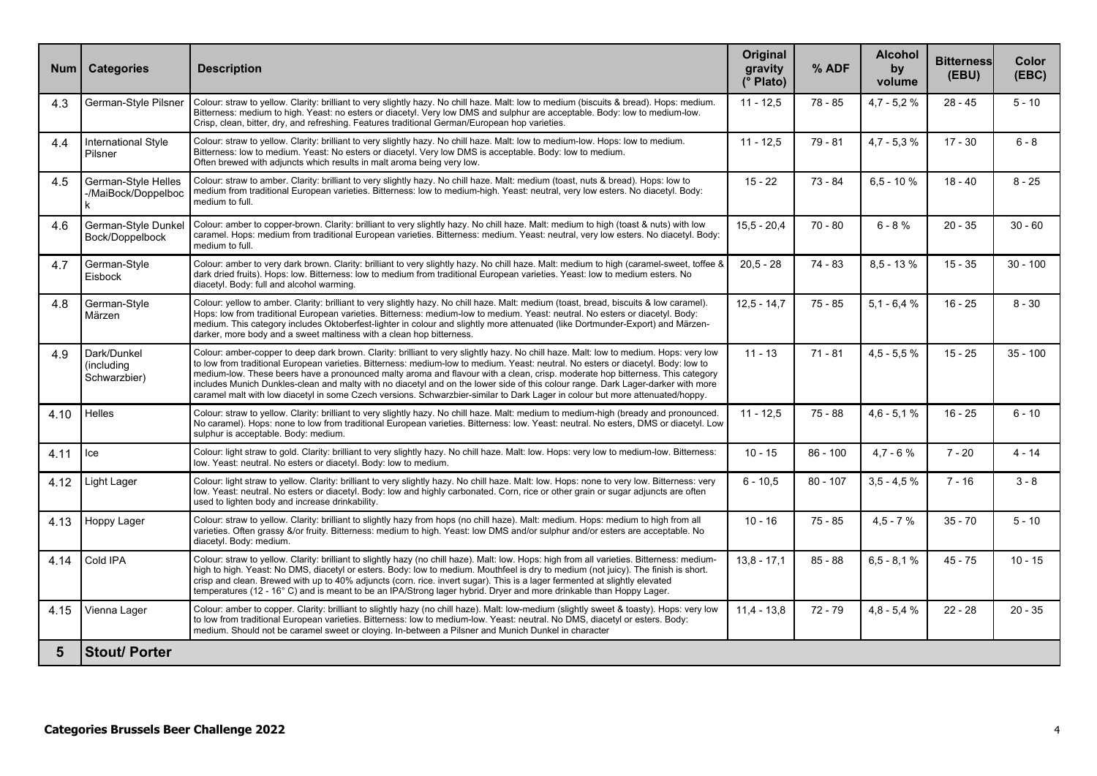| <b>Num</b> | <b>Categories</b>                                | <b>Description</b>                                                                                                                                                                                                                                                                                                                                                                                                                                                                                                                                                                                                                                                               | <b>Original</b><br>gravity<br>(° Plato) | % ADF      | <b>Alcohol</b><br>by<br>volume | <b>Bitterness</b><br>(EBU) | Color<br>(EEC) |
|------------|--------------------------------------------------|----------------------------------------------------------------------------------------------------------------------------------------------------------------------------------------------------------------------------------------------------------------------------------------------------------------------------------------------------------------------------------------------------------------------------------------------------------------------------------------------------------------------------------------------------------------------------------------------------------------------------------------------------------------------------------|-----------------------------------------|------------|--------------------------------|----------------------------|----------------|
| 4.3        | German-Style Pilsner                             | Colour: straw to yellow. Clarity: brilliant to very slightly hazy. No chill haze. Malt: low to medium (biscuits & bread). Hops: medium.<br>Bitterness: medium to high. Yeast: no esters or diacetyl. Very low DMS and sulphur are acceptable. Body: low to medium-low.<br>Crisp, clean, bitter, dry, and refreshing. Features traditional German/European hop varieties.                                                                                                                                                                                                                                                                                                         | $11 - 12.5$                             | 78 - 85    | $4.7 - 5.2 %$                  | $28 - 45$                  | $5 - 10$       |
| 4.4        | <b>International Style</b><br>Pilsner            | Colour: straw to yellow. Clarity: brilliant to very slightly hazy. No chill haze. Malt: low to medium-low. Hops: low to medium.<br>Bitterness: low to medium. Yeast: No esters or diacetyl. Very low DMS is acceptable. Body: low to medium.<br>Often brewed with adiuncts which results in malt aroma being very low.                                                                                                                                                                                                                                                                                                                                                           | $11 - 12.5$                             | 79 - 81    | $4,7 - 5,3 %$                  | $17 - 30$                  | $6 - 8$        |
| 4.5        | German-Style Helles<br>-/MaiBock/Doppelboc<br>k. | Colour: straw to amber. Clarity: brilliant to very slightly hazy. No chill haze. Malt: medium (toast, nuts & bread). Hops: low to<br>medium from traditional European varieties. Bitterness: low to medium-high. Yeast: neutral, very low esters. No diacetyl. Body:<br>medium to full.                                                                                                                                                                                                                                                                                                                                                                                          | $15 - 22$                               | $73 - 84$  | $6.5 - 10%$                    | $18 - 40$                  | $8 - 25$       |
| 4.6        | German-Style Dunkel<br>Bock/Doppelbock           | Colour: amber to copper-brown. Clarity: brilliant to very slightly hazy. No chill haze. Malt: medium to high (toast & nuts) with low<br>caramel. Hops: medium from traditional European varieties. Bitterness: medium. Yeast: neutral, very low esters. No diacetyl. Body:<br>medium to full.                                                                                                                                                                                                                                                                                                                                                                                    | $15.5 - 20.4$                           | $70 - 80$  | $6 - 8%$                       | $20 - 35$                  | $30 - 60$      |
| 4.7        | German-Style<br>Eisbock                          | Colour: amber to very dark brown. Clarity: brilliant to very slightly hazy. No chill haze. Malt: medium to high (caramel-sweet, toffee &<br>dark dried fruits). Hops: low. Bitterness: low to medium from traditional European varieties. Yeast: low to medium esters. No<br>diacetyl. Body: full and alcohol warming.                                                                                                                                                                                                                                                                                                                                                           | $20.5 - 28$                             | 74 - 83    | $8.5 - 13%$                    | $15 - 35$                  | $30 - 100$     |
| 4.8        | German-Style<br>Märzen                           | Colour: yellow to amber. Clarity: brilliant to very slightly hazy. No chill haze. Malt: medium (toast, bread, biscuits & low caramel).<br>Hops: low from traditional European varieties. Bitterness: medium-low to medium. Yeast: neutral. No esters or diacetyl. Body:<br>medium. This category includes Oktoberfest-lighter in colour and slightly more attenuated (like Dortmunder-Export) and Märzen-<br>darker, more body and a sweet maltiness with a clean hop bitterness.                                                                                                                                                                                                | $12.5 - 14.7$                           | $75 - 85$  | $5.1 - 6.4 %$                  | $16 - 25$                  | $8 - 30$       |
| 4.9        | Dark/Dunkel<br>(including<br>Schwarzbier)        | Colour: amber-copper to deep dark brown. Clarity: brilliant to very slightly hazy. No chill haze. Malt: low to medium. Hops: very low<br>to low from traditional European varieties. Bitterness: medium-low to medium. Yeast: neutral. No esters or diacetyl. Body: low to<br>medium-low. These beers have a pronounced malty aroma and flavour with a clean, crisp. moderate hop bitterness. This category<br>includes Munich Dunkles-clean and malty with no diacetyl and on the lower side of this colour range. Dark Lager-darker with more<br>caramel malt with low diacetyl in some Czech versions. Schwarzbier-similar to Dark Lager in colour but more attenuated/hoppy. | $11 - 13$                               | $71 - 81$  | $4.5 - 5.5 %$                  | $15 - 25$                  | $35 - 100$     |
| 4.10       | <b>Helles</b>                                    | Colour: straw to yellow. Clarity: brilliant to very slightly hazy. No chill haze. Malt: medium to medium-high (bready and pronounced.<br>No caramel). Hops: none to low from traditional European varieties. Bitterness: low. Yeast: neutral. No esters, DMS or diacetyl. Low<br>sulphur is acceptable. Body: medium.                                                                                                                                                                                                                                                                                                                                                            | $11 - 12.5$                             | $75 - 88$  | $4,6 - 5,1%$                   | $16 - 25$                  | $6 - 10$       |
| 4.11       | lce                                              | Colour: light straw to gold. Clarity: brilliant to very slightly hazy. No chill haze. Malt: low. Hops: very low to medium-low. Bitterness:<br>low. Yeast: neutral. No esters or diacetyl. Body: low to medium.                                                                                                                                                                                                                                                                                                                                                                                                                                                                   | $10 - 15$                               | $86 - 100$ | $4,7 - 6%$                     | $7 - 20$                   | 4 - 14         |
| 4.12       | Light Lager                                      | Colour: light straw to yellow. Clarity: brilliant to very slightly hazy. No chill haze. Malt: low. Hops: none to very low. Bitterness: very<br>low. Yeast: neutral. No esters or diacetyl. Body: low and highly carbonated. Corn, rice or other grain or sugar adjuncts are often<br>used to lighten body and increase drinkability.                                                                                                                                                                                                                                                                                                                                             | $6 - 10.5$                              | $80 - 107$ | $3,5 - 4,5 %$                  | $7 - 16$                   | $3 - 8$        |
| 4.13       | Hoppy Lager                                      | Colour: straw to yellow. Clarity: brilliant to slightly hazy from hops (no chill haze). Malt: medium. Hops: medium to high from all<br>varieties. Often grassy &/or fruity. Bitterness: medium to high. Yeast: low DMS and/or sulphur and/or esters are acceptable. No<br>diacetyl. Body: medium.                                                                                                                                                                                                                                                                                                                                                                                | $10 - 16$                               | $75 - 85$  | $4.5 - 7%$                     | $35 - 70$                  | $5 - 10$       |
| 4.14       | Cold IPA                                         | Colour: straw to yellow. Clarity: brilliant to slightly hazy (no chill haze). Malt: low. Hops: high from all varieties. Bitterness: medium-<br>high to high. Yeast: No DMS, diacetyl or esters. Body: low to medium. Mouthfeel is dry to medium (not juicy). The finish is short.<br>crisp and clean. Brewed with up to 40% adjuncts (corn. rice. invert sugar). This is a lager fermented at slightly elevated<br>temperatures (12 - 16°C) and is meant to be an IPA/Strong lager hybrid. Dryer and more drinkable than Hoppy Lager.                                                                                                                                            | $13.8 - 17.1$                           | $85 - 88$  | $6.5 - 8.1%$                   | $45 - 75$                  | $10 - 15$      |
| 4.15       | Vienna Lager                                     | Colour: amber to copper. Clarity: brilliant to slightly hazy (no chill haze). Malt: low-medium (slightly sweet & toasty). Hops: very low<br>to low from traditional European varieties. Bitterness: low to medium-low. Yeast: neutral. No DMS, diacetyl or esters. Body:<br>medium. Should not be caramel sweet or cloying. In-between a Pilsner and Munich Dunkel in character                                                                                                                                                                                                                                                                                                  | $11.4 - 13.8$                           | $72 - 79$  | $4.8 - 5.4 %$                  | $22 - 28$                  | $20 - 35$      |
| 5          | <b>Stout/ Porter</b>                             |                                                                                                                                                                                                                                                                                                                                                                                                                                                                                                                                                                                                                                                                                  |                                         |            |                                |                            |                |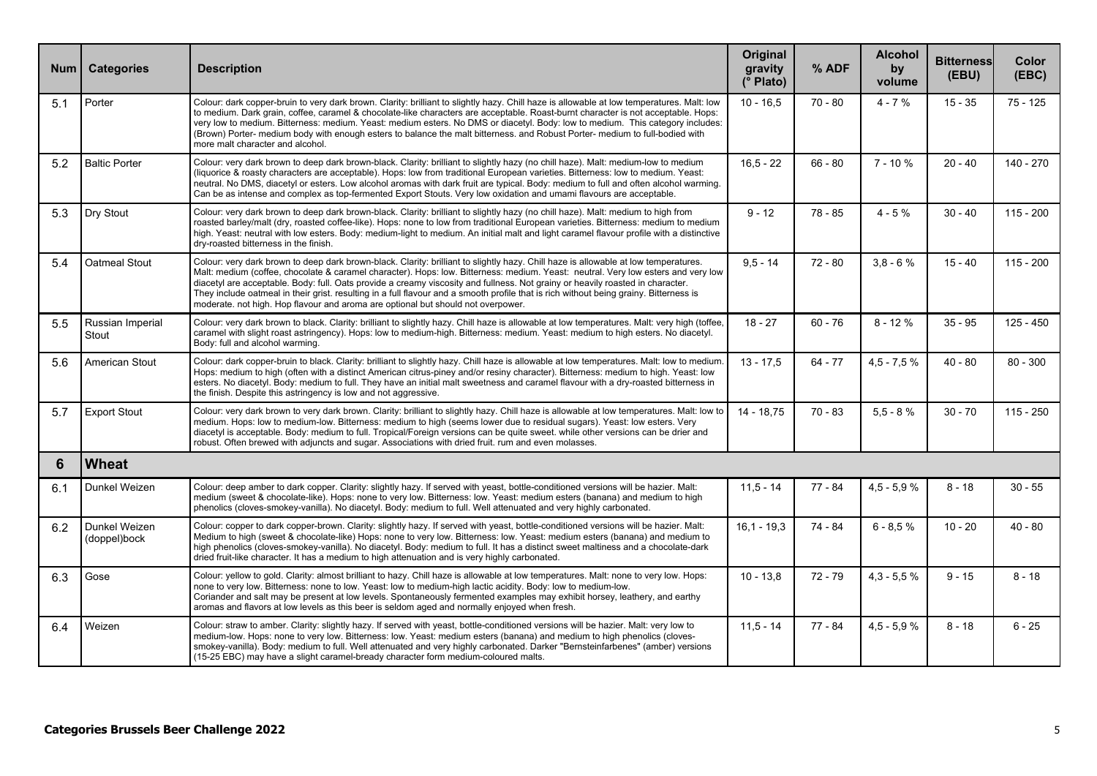| <b>Num</b> | <b>Categories</b>             | <b>Description</b>                                                                                                                                                                                                                                                                                                                                                                                                                                                                                                                                                                                                                       | Original<br>gravity<br>(° Plato) | % ADF     | <b>Alcohol</b><br>by<br>volume | <b>Bitterness</b><br>(EBU) | Color<br>(EEC) |
|------------|-------------------------------|------------------------------------------------------------------------------------------------------------------------------------------------------------------------------------------------------------------------------------------------------------------------------------------------------------------------------------------------------------------------------------------------------------------------------------------------------------------------------------------------------------------------------------------------------------------------------------------------------------------------------------------|----------------------------------|-----------|--------------------------------|----------------------------|----------------|
| 5.1        | Porter                        | Colour: dark copper-bruin to very dark brown. Clarity: brilliant to slightly hazy. Chill haze is allowable at low temperatures. Malt: low<br>to medium. Dark grain, coffee, caramel & chocolate-like characters are acceptable. Roast-burnt character is not acceptable. Hops:<br>very low to medium. Bitterness: medium. Yeast: medium esters. No DMS or diacetyl. Body: low to medium. This category includes:<br>(Brown) Porter- medium body with enough esters to balance the malt bitterness. and Robust Porter- medium to full-bodied with<br>more malt character and alcohol.                                                     | $10 - 16.5$                      | $70 - 80$ | $4 - 7%$                       | $15 - 35$                  | $75 - 125$     |
| 5.2        | <b>Baltic Porter</b>          | Colour: very dark brown to deep dark brown-black. Clarity: brilliant to slightly hazy (no chill haze). Malt: medium-low to medium<br>(liquorice & roasty characters are acceptable). Hops: low from traditional European varieties. Bitterness: low to medium. Yeast:<br>neutral. No DMS, diacetyl or esters. Low alcohol aromas with dark fruit are typical. Body: medium to full and often alcohol warming.<br>Can be as intense and complex as top-fermented Export Stouts. Very low oxidation and umami flavours are acceptable.                                                                                                     | $16.5 - 22$                      | $66 - 80$ | $7 - 10%$                      | $20 - 40$                  | 140 - 270      |
| 5.3        | Dry Stout                     | Colour: very dark brown to deep dark brown-black. Clarity: brilliant to slightly hazy (no chill haze). Malt: medium to high from<br>roasted barley/malt (dry, roasted coffee-like). Hops: none to low from traditional European varieties. Bitterness: medium to medium<br>high. Yeast: neutral with low esters. Body: medium-light to medium. An initial malt and light caramel flavour profile with a distinctive<br>dry-roasted bitterness in the finish.                                                                                                                                                                             | $9 - 12$                         | $78 - 85$ | $4 - 5%$                       | $30 - 40$                  | $115 - 200$    |
| 5.4        | Oatmeal Stout                 | Colour: very dark brown to deep dark brown-black. Clarity: brilliant to slightly hazy. Chill haze is allowable at low temperatures.<br>Malt: medium (coffee, chocolate & caramel character). Hops: low. Bitterness: medium. Yeast: neutral. Very low esters and very low<br>diacetyl are acceptable. Body: full. Oats provide a creamy viscosity and fullness. Not grainy or heavily roasted in character.<br>They include oatmeal in their grist, resulting in a full flavour and a smooth profile that is rich without being grainy. Bitterness is<br>moderate, not high. Hop flavour and aroma are optional but should not overpower. | $9,5 - 14$                       | $72 - 80$ | $3.8 - 6%$                     | $15 - 40$                  | $115 - 200$    |
| 5.5        | Russian Imperial<br>Stout     | Colour: very dark brown to black. Clarity: brilliant to slightly hazy. Chill haze is allowable at low temperatures. Malt: very high (toffee,<br>caramel with slight roast astringency). Hops: low to medium-high. Bitterness: medium. Yeast: medium to high esters. No diacetyl.<br>Body: full and alcohol warming.                                                                                                                                                                                                                                                                                                                      | $18 - 27$                        | $60 - 76$ | $8 - 12%$                      | $35 - 95$                  | $125 - 450$    |
| 5.6        | American Stout                | Colour: dark copper-bruin to black. Clarity: brilliant to slightly hazy. Chill haze is allowable at low temperatures. Malt: low to medium<br>Hops: medium to high (often with a distinct American citrus-piney and/or resiny character). Bitterness: medium to high. Yeast: low<br>esters. No diacetyl. Body: medium to full. They have an initial malt sweetness and caramel flavour with a dry-roasted bitterness in<br>the finish. Despite this astringency is low and not aggressive.                                                                                                                                                | $13 - 17,5$                      | $64 - 77$ | $4,5 - 7,5 %$                  | $40 - 80$                  | $80 - 300$     |
| 5.7        | <b>Export Stout</b>           | Colour: very dark brown to very dark brown. Clarity: brilliant to slightly hazy. Chill haze is allowable at low temperatures. Malt: low to<br>medium. Hops: low to medium-low. Bitterness: medium to high (seems lower due to residual sugars). Yeast: low esters. Very<br>diacetyl is acceptable. Body: medium to full. Tropical/Foreign versions can be quite sweet, while other versions can be drier and<br>robust. Often brewed with adjuncts and sugar. Associations with dried fruit. rum and even molasses.                                                                                                                      | 14 - 18,75                       | $70 - 83$ | $5.5 - 8%$                     | $30 - 70$                  | $115 - 250$    |
| 6          | <b>Wheat</b>                  |                                                                                                                                                                                                                                                                                                                                                                                                                                                                                                                                                                                                                                          |                                  |           |                                |                            |                |
| 6.1        | Dunkel Weizen                 | Colour: deep amber to dark copper. Clarity: slightly hazy. If served with yeast, bottle-conditioned versions will be hazier. Malt:<br>medium (sweet & chocolate-like). Hops: none to very low. Bitterness: low. Yeast: medium esters (banana) and medium to high<br>phenolics (cloves-smokey-vanilla). No diacetyl. Body: medium to full. Well attenuated and very highly carbonated.                                                                                                                                                                                                                                                    | $11.5 - 14$                      | $77 - 84$ | $4.5 - 5.9%$                   | $8 - 18$                   | $30 - 55$      |
| 6.2        | Dunkel Weizen<br>(doppel)bock | Colour: copper to dark copper-brown. Clarity: slightly hazy. If served with yeast, bottle-conditioned versions will be hazier. Malt:<br>Medium to high (sweet & chocolate-like) Hops: none to very low. Bitterness: low. Yeast: medium esters (banana) and medium to<br>high phenolics (cloves-smokey-vanilla). No diacetyl. Body: medium to full. It has a distinct sweet maltiness and a chocolate-dark<br>dried fruit-like character. It has a medium to high attenuation and is very highly carbonated.                                                                                                                              | $16.1 - 19.3$                    | 74 - 84   | $6 - 8.5 %$                    | $10 - 20$                  | $40 - 80$      |
| 6.3        | Gose                          | Colour: yellow to gold. Clarity: almost brilliant to hazy. Chill haze is allowable at low temperatures. Malt: none to very low. Hops:<br>none to very low. Bitterness: none to low. Yeast: low to medium-high lactic acidity. Body: low to medium-low.<br>Coriander and salt may be present at low levels. Spontaneously fermented examples may exhibit horsey, leathery, and earthy<br>aromas and flavors at low levels as this beer is seldom aged and normally enjoyed when fresh.                                                                                                                                                    | $10 - 13.8$                      | 72 - 79   | $4.3 - 5.5 %$                  | $9 - 15$                   | $8 - 18$       |
| 6.4        | Weizen                        | Colour: straw to amber. Clarity: slightly hazy. If served with yeast, bottle-conditioned versions will be hazier. Malt: very low to<br>medium-low. Hops: none to very low. Bitterness: low. Yeast: medium esters (banana) and medium to high phenolics (cloves-<br>smokey-vanilla). Body: medium to full. Well attenuated and very highly carbonated. Darker "Bernsteinfarbenes" (amber) versions<br>(15-25 EBC) may have a slight caramel-bready character form medium-coloured malts.                                                                                                                                                  | $11.5 - 14$                      | 77 - 84   | $4,5 - 5,9 %$                  | $8 - 18$                   | $6 - 25$       |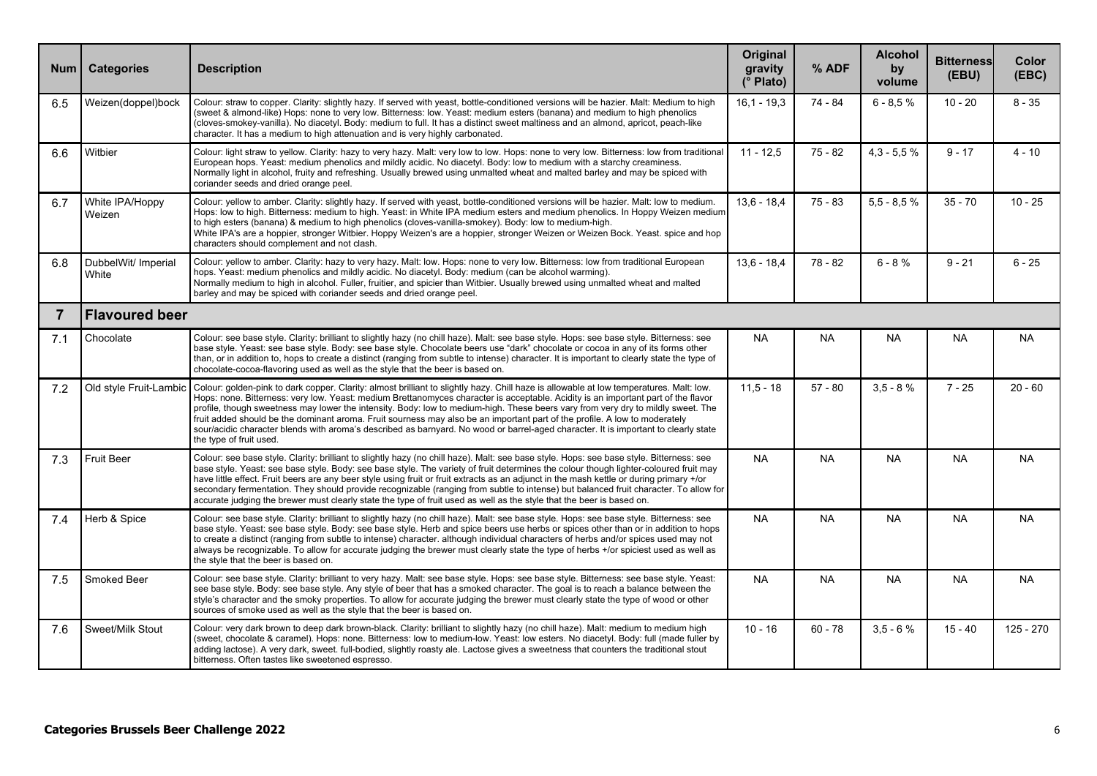| <b>Num</b>     | <b>Categories</b>            | <b>Description</b>                                                                                                                                                                                                                                                                                                                                                                                                                                                                                                                                                                                                                                                                                               | Original<br>gravity<br>(° Plato) | % ADF     | <b>Alcohol</b><br>by<br>volume | <b>Bitterness</b><br>(EBU) | Color<br>(EBC) |  |  |
|----------------|------------------------------|------------------------------------------------------------------------------------------------------------------------------------------------------------------------------------------------------------------------------------------------------------------------------------------------------------------------------------------------------------------------------------------------------------------------------------------------------------------------------------------------------------------------------------------------------------------------------------------------------------------------------------------------------------------------------------------------------------------|----------------------------------|-----------|--------------------------------|----------------------------|----------------|--|--|
| 6.5            | Weizen(doppel)bock           | Colour: straw to copper. Clarity: slightly hazy. If served with yeast, bottle-conditioned versions will be hazier. Malt: Medium to high<br>(sweet & almond-like) Hops: none to very low. Bitterness: low. Yeast: medium esters (banana) and medium to high phenolics<br>(cloves-smokey-vanilla). No diacetyl. Body: medium to full. It has a distinct sweet maltiness and an almond, apricot, peach-like<br>character. It has a medium to high attenuation and is very highly carbonated.                                                                                                                                                                                                                        | $16.1 - 19.3$                    | 74 - 84   | $6 - 8.5%$                     | $10 - 20$                  | $8 - 35$       |  |  |
| 6.6            | Witbier                      | Colour: light straw to yellow. Clarity: hazy to very hazy. Malt: very low to low. Hops: none to very low. Bitterness: low from traditional<br>European hops. Yeast: medium phenolics and mildly acidic. No diacetyl. Body: low to medium with a starchy creaminess.<br>Normally light in alcohol, fruity and refreshing. Usually brewed using unmalted wheat and malted barley and may be spiced with<br>coriander seeds and dried orange peel.                                                                                                                                                                                                                                                                  | $11 - 12.5$                      | $75 - 82$ | $4,3 - 5,5 %$                  | $9 - 17$                   | $4 - 10$       |  |  |
| 6.7            | White IPA/Hoppy<br>Weizen    | Colour: yellow to amber. Clarity: slightly hazy. If served with yeast, bottle-conditioned versions will be hazier. Malt: low to medium.<br>Hops: low to high. Bitterness: medium to high. Yeast: in White IPA medium esters and medium phenolics. In Hoppy Weizen medium<br>to high esters (banana) & medium to high phenolics (cloves-vanilla-smokey). Body: low to medium-high.<br>White IPA's are a hoppier, stronger Witbier. Hoppy Weizen's are a hoppier, stronger Weizen or Weizen Bock. Yeast, spice and hop<br>characters should complement and not clash.                                                                                                                                              | $13.6 - 18.4$                    | $75 - 83$ | $5.5 - 8.5%$                   | $35 - 70$                  | $10 - 25$      |  |  |
| 6.8            | DubbelWit/ Imperial<br>White | Colour: yellow to amber. Clarity: hazy to very hazy. Malt: low. Hops: none to very low. Bitterness: low from traditional European<br>hops. Yeast: medium phenolics and mildly acidic. No diacetyl. Body: medium (can be alcohol warming).<br>Normally medium to high in alcohol. Fuller, fruitier, and spicier than Witbier. Usually brewed using unmalted wheat and malted<br>barley and may be spiced with coriander seeds and dried orange peel.                                                                                                                                                                                                                                                              | $13.6 - 18.4$                    | $78 - 82$ | $6 - 8%$                       | $9 - 21$                   | $6 - 25$       |  |  |
| $\overline{7}$ | <b>Flavoured beer</b>        |                                                                                                                                                                                                                                                                                                                                                                                                                                                                                                                                                                                                                                                                                                                  |                                  |           |                                |                            |                |  |  |
| 7.1            | Chocolate                    | Colour: see base style. Clarity: brilliant to slightly hazy (no chill haze). Malt: see base style. Hops: see base style. Bitterness: see<br>base style. Yeast: see base style. Body: see base style. Chocolate beers use "dark" chocolate or cocoa in any of its forms other<br>than, or in addition to, hops to create a distinct (ranging from subtle to intense) character. It is important to clearly state the type of<br>chocolate-cocoa-flavoring used as well as the style that the beer is based on.                                                                                                                                                                                                    | <b>NA</b>                        | NA.       | <b>NA</b>                      | <b>NA</b>                  | <b>NA</b>      |  |  |
| 7.2            | Old style Fruit-Lambic       | Colour: golden-pink to dark copper. Clarity: almost brilliant to slightly hazy. Chill haze is allowable at low temperatures. Malt: low.<br>Hops: none. Bitterness: very low. Yeast: medium Brettanomyces character is acceptable. Acidity is an important part of the flavor<br>profile, though sweetness may lower the intensity. Body: low to medium-high. These beers vary from very dry to mildly sweet. The<br>fruit added should be the dominant aroma. Fruit sourness may also be an important part of the profile. A low to moderately<br>sour/acidic character blends with aroma's described as barnyard. No wood or barrel-aged character. It is important to clearly state<br>the type of fruit used. | $11.5 - 18$                      | $57 - 80$ | $3.5 - 8%$                     | $7 - 25$                   | $20 - 60$      |  |  |
| 7.3            | <b>Fruit Beer</b>            | Colour: see base style. Clarity: brilliant to slightly hazy (no chill haze). Malt: see base style. Hops: see base style. Bitterness: see<br>base style. Yeast: see base style. Body: see base style. The variety of fruit determines the colour though lighter-coloured fruit may<br>have little effect. Fruit beers are any beer style using fruit or fruit extracts as an adjunct in the mash kettle or during primary +/or<br>secondary fermentation. They should provide recognizable (ranging from subtle to intense) but balanced fruit character. To allow for<br>accurate judging the brewer must clearly state the type of fruit used as well as the style that the beer is based on.                   | <b>NA</b>                        | <b>NA</b> | <b>NA</b>                      | <b>NA</b>                  | <b>NA</b>      |  |  |
| 7.4            | Herb & Spice                 | Colour: see base style. Clarity: brilliant to slightly hazy (no chill haze). Malt: see base style. Hops: see base style. Bitterness: see<br>base style. Yeast: see base style. Body: see base style. Herb and spice beers use herbs or spices other than or in addition to hops<br>to create a distinct (ranging from subtle to intense) character, although individual characters of herbs and/or spices used may not<br>always be recognizable. To allow for accurate judging the brewer must clearly state the type of herbs +/or spiciest used as well as<br>the style that the beer is based on.                                                                                                            | <b>NA</b>                        | <b>NA</b> | <b>NA</b>                      | <b>NA</b>                  | <b>NA</b>      |  |  |
| 7.5            | Smoked Beer                  | Colour: see base style. Clarity: brilliant to very hazy. Malt: see base style. Hops: see base style. Bitterness: see base style. Yeast:<br>see base style. Body: see base style. Any style of beer that has a smoked character. The goal is to reach a balance between the<br>style's character and the smoky properties. To allow for accurate judging the brewer must clearly state the type of wood or other<br>sources of smoke used as well as the style that the beer is based on.                                                                                                                                                                                                                         | <b>NA</b>                        | <b>NA</b> | <b>NA</b>                      | <b>NA</b>                  | <b>NA</b>      |  |  |
| 7.6            | Sweet/Milk Stout             | Colour: very dark brown to deep dark brown-black. Clarity: brilliant to slightly hazy (no chill haze). Malt: medium to medium high<br>(sweet, chocolate & caramel). Hops: none. Bitterness: low to medium-low. Yeast: low esters. No diacetyl. Body: full (made fuller by<br>adding lactose). A very dark, sweet, full-bodied, slightly roasty ale. Lactose gives a sweetness that counters the traditional stout<br>bitterness. Often tastes like sweetened espresso.                                                                                                                                                                                                                                           | $10 - 16$                        | $60 - 78$ | $3.5 - 6%$                     | $15 - 40$                  | $125 - 270$    |  |  |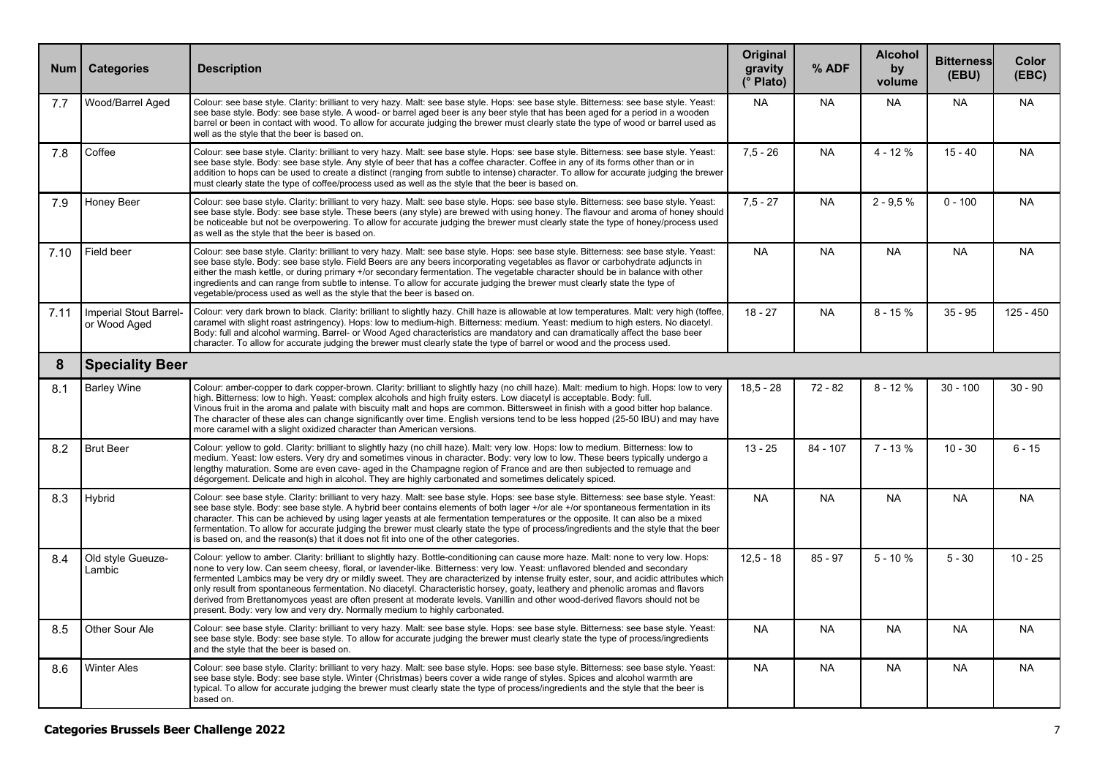| <b>Num</b> | <b>Categories</b>                      | <b>Description</b>                                                                                                                                                                                                                                                                                                                                                                                                                                                                                                                                                                                                                                                                                                                                          | Original<br>gravity<br>(° Plato) | % ADF      | <b>Alcohol</b><br>by<br>volume | <b>Bitterness</b><br>(EBU) | Color<br>(EBC) |
|------------|----------------------------------------|-------------------------------------------------------------------------------------------------------------------------------------------------------------------------------------------------------------------------------------------------------------------------------------------------------------------------------------------------------------------------------------------------------------------------------------------------------------------------------------------------------------------------------------------------------------------------------------------------------------------------------------------------------------------------------------------------------------------------------------------------------------|----------------------------------|------------|--------------------------------|----------------------------|----------------|
| 7.7        | Wood/Barrel Aged                       | Colour: see base style. Clarity: brilliant to very hazy. Malt: see base style. Hops: see base style. Bitterness: see base style. Yeast:<br>see base style. Body: see base style. A wood- or barrel aged beer is any beer style that has been aged for a period in a wooden<br>barrel or been in contact with wood. To allow for accurate judging the brewer must clearly state the type of wood or barrel used as<br>well as the style that the beer is based on.                                                                                                                                                                                                                                                                                           | <b>NA</b>                        | <b>NA</b>  | NA                             | NA.                        | NA             |
| 7.8        | Coffee                                 | Colour: see base style. Clarity: brilliant to very hazy. Malt: see base style. Hops: see base style. Bitterness: see base style. Yeast:<br>see base style. Body: see base style. Any style of beer that has a coffee character. Coffee in any of its forms other than or in<br>addition to hops can be used to create a distinct (ranging from subtle to intense) character. To allow for accurate judging the brewer<br>must clearly state the type of coffee/process used as well as the style that the beer is based on.                                                                                                                                                                                                                                 | $7.5 - 26$                       | <b>NA</b>  | $4 - 12%$                      | $15 - 40$                  | <b>NA</b>      |
| 7.9        | Honey Beer                             | Colour: see base style. Clarity: brilliant to very hazy. Malt: see base style. Hops: see base style. Bitterness: see base style. Yeast:<br>see base style. Body: see base style. These beers (any style) are brewed with using honey. The flavour and aroma of honey should<br>be noticeable but not be overpowering. To allow for accurate judging the brewer must clearly state the type of honey/process used<br>as well as the style that the beer is based on.                                                                                                                                                                                                                                                                                         | $7.5 - 27$                       | <b>NA</b>  | $2 - 9.5%$                     | $0 - 100$                  | <b>NA</b>      |
| 7.10       | Field beer                             | Colour: see base style. Clarity: brilliant to very hazy. Malt: see base style. Hops: see base style. Bitterness: see base style. Yeast:<br>see base style. Body: see base style. Field Beers are any beers incorporating vegetables as flavor or carbohydrate adjuncts in<br>either the mash kettle, or during primary +/or secondary fermentation. The vegetable character should be in balance with other<br>ingredients and can range from subtle to intense. To allow for accurate judging the brewer must clearly state the type of<br>vegetable/process used as well as the style that the beer is based on.                                                                                                                                          | <b>NA</b>                        | <b>NA</b>  | <b>NA</b>                      | <b>NA</b>                  | <b>NA</b>      |
| 7.11       | Imperial Stout Barrel-<br>or Wood Aged | Colour: very dark brown to black. Clarity: brilliant to slightly hazy. Chill haze is allowable at low temperatures. Malt: very high (toffee,<br>caramel with slight roast astringency). Hops: low to medium-high. Bitterness: medium. Yeast: medium to high esters. No diacetyl.<br>Body: full and alcohol warming. Barrel- or Wood Aged characteristics are mandatory and can dramatically affect the base beer<br>character. To allow for accurate judging the brewer must clearly state the type of barrel or wood and the process used.                                                                                                                                                                                                                 | $18 - 27$                        | <b>NA</b>  | $8 - 15%$                      | $35 - 95$                  | 125 - 450      |
| 8          | <b>Speciality Beer</b>                 |                                                                                                                                                                                                                                                                                                                                                                                                                                                                                                                                                                                                                                                                                                                                                             |                                  |            |                                |                            |                |
| 8.1        | <b>Barley Wine</b>                     | Colour: amber-copper to dark copper-brown. Clarity: brilliant to slightly hazy (no chill haze). Malt: medium to high. Hops: low to very<br>high. Bitterness: low to high. Yeast: complex alcohols and high fruity esters. Low diacetyl is acceptable. Body: full.<br>Vinous fruit in the aroma and palate with biscuity malt and hops are common. Bittersweet in finish with a good bitter hop balance.<br>The character of these ales can change significantly over time. English versions tend to be less hopped (25-50 IBU) and may have<br>more caramel with a slight oxidized character than American versions.                                                                                                                                        | $18.5 - 28$                      | $72 - 82$  | $8 - 12%$                      | $30 - 100$                 | $30 - 90$      |
| 8.2        | <b>Brut Beer</b>                       | Colour: yellow to gold. Clarity: brilliant to slightly hazy (no chill haze). Malt: very low. Hops: low to medium. Bitterness: low to<br>medium. Yeast: low esters. Very dry and sometimes vinous in character. Body: very low to low. These beers typically undergo a<br>lengthy maturation. Some are even cave- aged in the Champagne region of France and are then subjected to remuage and<br>dégorgement. Delicate and high in alcohol. They are highly carbonated and sometimes delicately spiced.                                                                                                                                                                                                                                                     | $13 - 25$                        | $84 - 107$ | $7 - 13%$                      | $10 - 30$                  | $6 - 15$       |
| 8.3        | Hybrid                                 | Colour: see base style. Clarity: brilliant to very hazy. Malt: see base style. Hops: see base style. Bitterness: see base style. Yeast:<br>see base style. Body: see base style. A hybrid beer contains elements of both lager +/or ale +/or spontaneous fermentation in its<br>character. This can be achieved by using lager yeasts at ale fermentation temperatures or the opposite. It can also be a mixed<br>fermentation. To allow for accurate judging the brewer must clearly state the type of process/ingredients and the style that the beer<br>is based on, and the reason(s) that it does not fit into one of the other categories.                                                                                                            | <b>NA</b>                        | <b>NA</b>  | <b>NA</b>                      | <b>NA</b>                  | <b>NA</b>      |
| 8.4        | Old style Gueuze-<br>Lambic            | Colour: yellow to amber. Clarity: brilliant to slightly hazy. Bottle-conditioning can cause more haze. Malt: none to very low. Hops:<br>none to very low. Can seem cheesy, floral, or lavender-like. Bitterness: very low. Yeast: unflavored blended and secondary<br>fermented Lambics may be very dry or mildly sweet. They are characterized by intense fruity ester, sour, and acidic attributes which<br>only result from spontaneous fermentation. No diacetyl. Characteristic horsey, goaty, leathery and phenolic aromas and flavors<br>derived from Brettanomyces yeast are often present at moderate levels. Vanillin and other wood-derived flavors should not be<br>present. Body: very low and very dry. Normally medium to highly carbonated. | $12.5 - 18$                      | $85 - 97$  | $5 - 10%$                      | $5 - 30$                   | $10 - 25$      |
| 8.5        | Other Sour Ale                         | Colour: see base style. Clarity: brilliant to very hazy. Malt: see base style. Hops: see base style. Bitterness: see base style. Yeast:<br>see base style. Body: see base style. To allow for accurate judging the brewer must clearly state the type of process/ingredients<br>and the style that the beer is based on.                                                                                                                                                                                                                                                                                                                                                                                                                                    | <b>NA</b>                        | <b>NA</b>  | <b>NA</b>                      | <b>NA</b>                  | <b>NA</b>      |
| 8.6        | <b>Winter Ales</b>                     | Colour: see base style. Clarity: brilliant to very hazy. Malt: see base style. Hops: see base style. Bitterness: see base style. Yeast:<br>see base style. Body: see base style. Winter (Christmas) beers cover a wide range of styles. Spices and alcohol warmth are<br>typical. To allow for accurate judging the brewer must clearly state the type of process/ingredients and the style that the beer is<br>based on.                                                                                                                                                                                                                                                                                                                                   | <b>NA</b>                        | <b>NA</b>  | <b>NA</b>                      | <b>NA</b>                  | <b>NA</b>      |